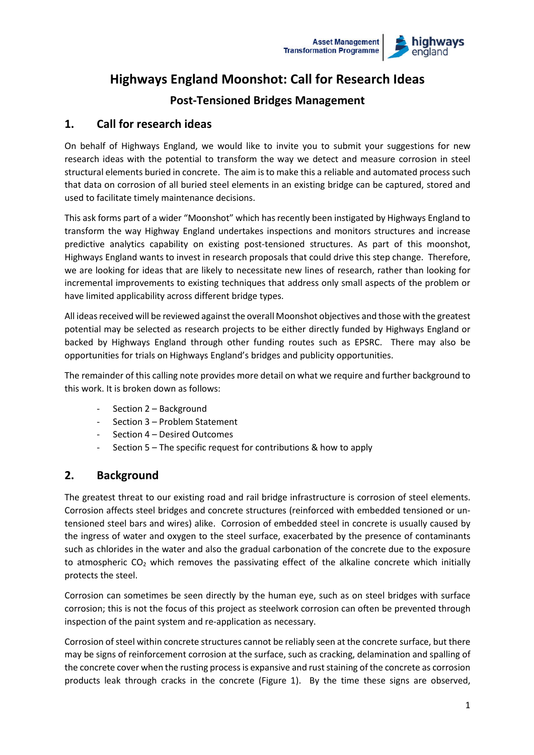

# **Highways England Moonshot: Call for Research Ideas**

# **Post-Tensioned Bridges Management**

### **1. Call for research ideas**

On behalf of Highways England, we would like to invite you to submit your suggestions for new research ideas with the potential to transform the way we detect and measure corrosion in steel structural elements buried in concrete. The aim is to make this a reliable and automated process such that data on corrosion of all buried steel elements in an existing bridge can be captured, stored and used to facilitate timely maintenance decisions.

This ask forms part of a wider "Moonshot" which has recently been instigated by Highways England to transform the way Highway England undertakes inspections and monitors structures and increase predictive analytics capability on existing post-tensioned structures. As part of this moonshot, Highways England wants to invest in research proposals that could drive this step change. Therefore, we are looking for ideas that are likely to necessitate new lines of research, rather than looking for incremental improvements to existing techniques that address only small aspects of the problem or have limited applicability across different bridge types.

All ideas received will be reviewed against the overall Moonshot objectives and those with the greatest potential may be selected as research projects to be either directly funded by Highways England or backed by Highways England through other funding routes such as EPSRC. There may also be opportunities for trials on Highways England's bridges and publicity opportunities.

The remainder of this calling note provides more detail on what we require and further background to this work. It is broken down as follows:

- Section 2 Background
- Section 3 Problem Statement
- Section 4 Desired Outcomes
- Section  $5$  The specific request for contributions & how to apply

### **2. Background**

The greatest threat to our existing road and rail bridge infrastructure is corrosion of steel elements. Corrosion affects steel bridges and concrete structures (reinforced with embedded tensioned or untensioned steel bars and wires) alike. Corrosion of embedded steel in concrete is usually caused by the ingress of water and oxygen to the steel surface, exacerbated by the presence of contaminants such as chlorides in the water and also the gradual carbonation of the concrete due to the exposure to atmospheric  $CO<sub>2</sub>$  which removes the passivating effect of the alkaline concrete which initially protects the steel.

Corrosion can sometimes be seen directly by the human eye, such as on steel bridges with surface corrosion; this is not the focus of this project as steelwork corrosion can often be prevented through inspection of the paint system and re-application as necessary.

Corrosion of steel within concrete structures cannot be reliably seen at the concrete surface, but there may be signs of reinforcement corrosion at the surface, such as cracking, delamination and spalling of the concrete cover when the rusting process is expansive and rust staining of the concrete as corrosion products leak through cracks in the concrete (Figure 1). By the time these signs are observed,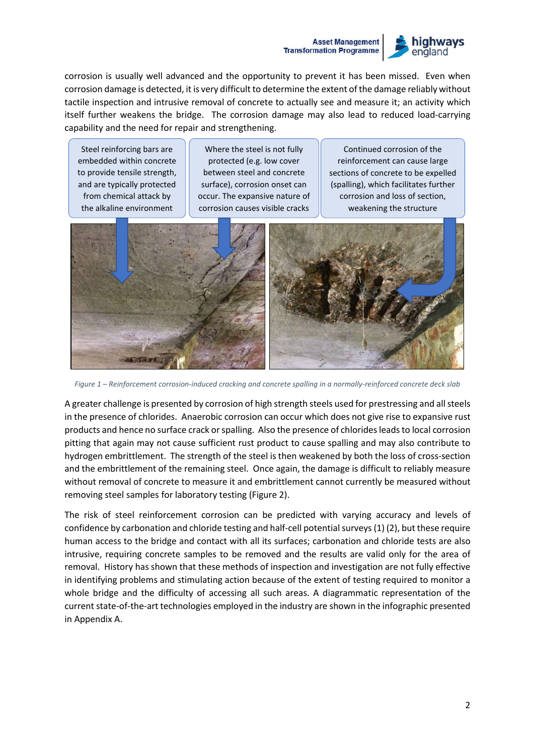#### **Asset Management Transformation Programme**



corrosion is usually well advanced and the opportunity to prevent it has been missed. Even when corrosion damage is detected, it is very difficult to determine the extent of the damage reliably without tactile inspection and intrusive removal of concrete to actually see and measure it; an activity which itself further weakens the bridge. The corrosion damage may also lead to reduced load-carrying capability and the need for repair and strengthening.

Steel reinforcing bars are embedded within concrete to provide tensile strength, and are typically protected from chemical attack by the alkaline environment

Where the steel is not fully protected (e.g. low cover between steel and concrete surface), corrosion onset can occur. The expansive nature of corrosion causes visible cracks

Continued corrosion of the reinforcement can cause large sections of concrete to be expelled (spalling), which facilitates further corrosion and loss of section, weakening the structure



*Figure 1 – Reinforcement corrosion-induced cracking and concrete spalling in a normally-reinforced concrete deck slab*

A greater challenge is presented by corrosion of high strength steels used for prestressing and all steels in the presence of chlorides. Anaerobic corrosion can occur which does not give rise to expansive rust products and hence no surface crack or spalling. Also the presence of chlorides leads to local corrosion pitting that again may not cause sufficient rust product to cause spalling and may also contribute to hydrogen embrittlement. The strength of the steel is then weakened by both the loss of cross-section and the embrittlement of the remaining steel. Once again, the damage is difficult to reliably measure without removal of concrete to measure it and embrittlement cannot currently be measured without removing steel samples for laboratory testing (Figure 2).

The risk of steel reinforcement corrosion can be predicted with varying accuracy and levels of confidence by carbonation and chloride testing and half-cell potential surveys (1) (2), but these require human access to the bridge and contact with all its surfaces; carbonation and chloride tests are also intrusive, requiring concrete samples to be removed and the results are valid only for the area of removal. History has shown that these methods of inspection and investigation are not fully effective in identifying problems and stimulating action because of the extent of testing required to monitor a whole bridge and the difficulty of accessing all such areas. A diagrammatic representation of the current state-of-the-art technologies employed in the industry are shown in the infographic presented in Appendix A.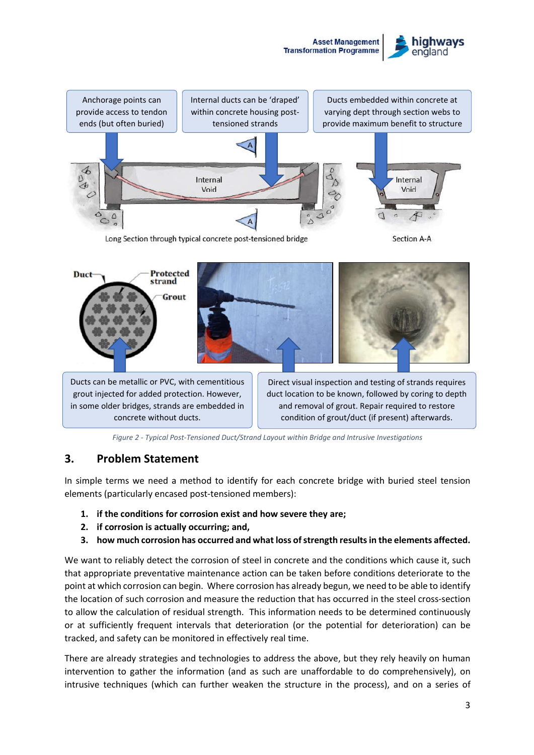





Ducts can be metallic or PVC, with cementitious grout injected for added protection. However, in some older bridges, strands are embedded in concrete without ducts.

Direct visual inspection and testing of strands requires duct location to be known, followed by coring to depth and removal of grout. Repair required to restore condition of grout/duct (if present) afterwards.

*Figure 2 - Typical Post-Tensioned Duct/Strand Layout within Bridge and Intrusive Investigations*

#### **3. Problem Statement**

In simple terms we need a method to identify for each concrete bridge with buried steel tension elements (particularly encased post-tensioned members):

- **1. if the conditions for corrosion exist and how severe they are;**
- **2. if corrosion is actually occurring; and,**
- **3. how much corrosion has occurred and what loss of strength resultsin the elements affected.**

We want to reliably detect the corrosion of steel in concrete and the conditions which cause it, such that appropriate preventative maintenance action can be taken before conditions deteriorate to the point at which corrosion can begin. Where corrosion has already begun, we need to be able to identify the location of such corrosion and measure the reduction that has occurred in the steel cross-section to allow the calculation of residual strength. This information needs to be determined continuously or at sufficiently frequent intervals that deterioration (or the potential for deterioration) can be tracked, and safety can be monitored in effectively real time.

There are already strategies and technologies to address the above, but they rely heavily on human intervention to gather the information (and as such are unaffordable to do comprehensively), on intrusive techniques (which can further weaken the structure in the process), and on a series of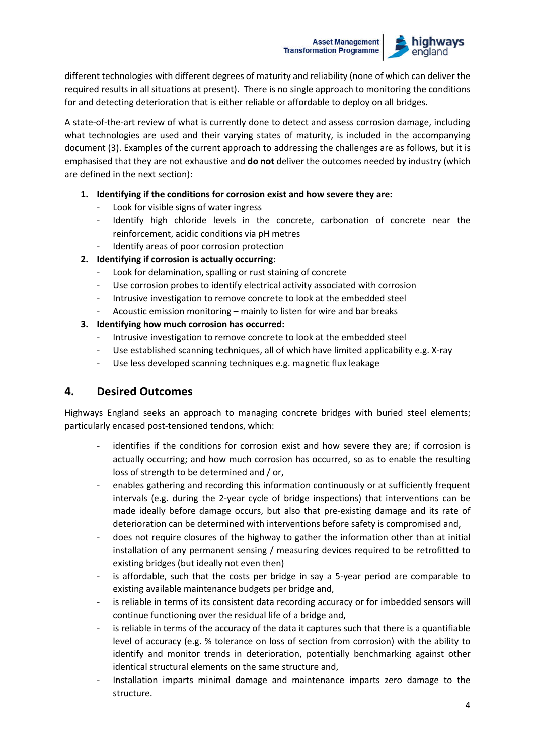#### **Asset Management Transformation Programme**



different technologies with different degrees of maturity and reliability (none of which can deliver the required results in all situations at present). There is no single approach to monitoring the conditions for and detecting deterioration that is either reliable or affordable to deploy on all bridges.

A state-of-the-art review of what is currently done to detect and assess corrosion damage, including what technologies are used and their varying states of maturity, is included in the accompanying document (3). Examples of the current approach to addressing the challenges are as follows, but it is emphasised that they are not exhaustive and **do not** deliver the outcomes needed by industry (which are defined in the next section):

- **1. Identifying if the conditions for corrosion exist and how severe they are:**
	- Look for visible signs of water ingress
	- Identify high chloride levels in the concrete, carbonation of concrete near the reinforcement, acidic conditions via pH metres
	- Identify areas of poor corrosion protection
- **2. Identifying if corrosion is actually occurring:**
	- Look for delamination, spalling or rust staining of concrete
	- Use corrosion probes to identify electrical activity associated with corrosion
	- Intrusive investigation to remove concrete to look at the embedded steel
	- Acoustic emission monitoring mainly to listen for wire and bar breaks
- **3. Identifying how much corrosion has occurred:**
	- Intrusive investigation to remove concrete to look at the embedded steel
	- Use established scanning techniques, all of which have limited applicability e.g. X-ray
	- Use less developed scanning techniques e.g. magnetic flux leakage

### **4. Desired Outcomes**

Highways England seeks an approach to managing concrete bridges with buried steel elements; particularly encased post-tensioned tendons, which:

- identifies if the conditions for corrosion exist and how severe they are; if corrosion is actually occurring; and how much corrosion has occurred, so as to enable the resulting loss of strength to be determined and / or,
- enables gathering and recording this information continuously or at sufficiently frequent intervals (e.g. during the 2-year cycle of bridge inspections) that interventions can be made ideally before damage occurs, but also that pre-existing damage and its rate of deterioration can be determined with interventions before safety is compromised and,
- does not require closures of the highway to gather the information other than at initial installation of any permanent sensing / measuring devices required to be retrofitted to existing bridges (but ideally not even then)
- is affordable, such that the costs per bridge in say a 5-year period are comparable to existing available maintenance budgets per bridge and,
- is reliable in terms of its consistent data recording accuracy or for imbedded sensors will continue functioning over the residual life of a bridge and,
- is reliable in terms of the accuracy of the data it captures such that there is a quantifiable level of accuracy (e.g. % tolerance on loss of section from corrosion) with the ability to identify and monitor trends in deterioration, potentially benchmarking against other identical structural elements on the same structure and,
- Installation imparts minimal damage and maintenance imparts zero damage to the structure.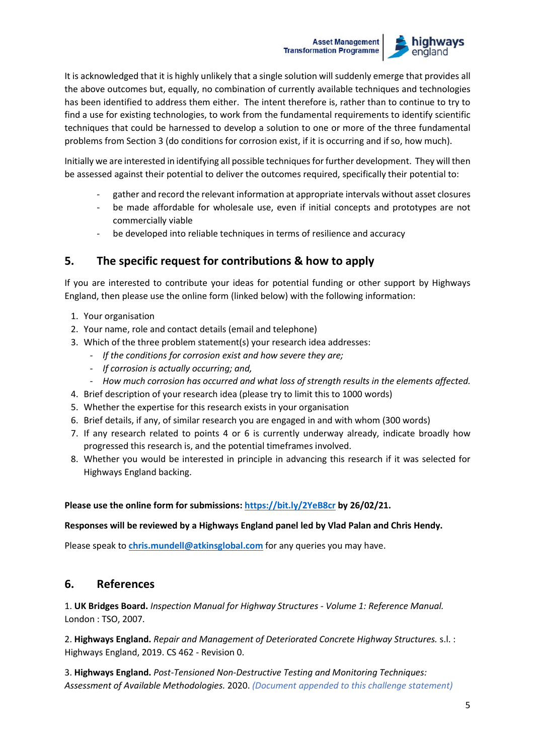#### **Asset Management Transformation Programme**



It is acknowledged that it is highly unlikely that a single solution will suddenly emerge that provides all the above outcomes but, equally, no combination of currently available techniques and technologies has been identified to address them either. The intent therefore is, rather than to continue to try to find a use for existing technologies, to work from the fundamental requirements to identify scientific techniques that could be harnessed to develop a solution to one or more of the three fundamental problems from Section 3 (do conditions for corrosion exist, if it is occurring and if so, how much).

Initially we are interested in identifying all possible techniquesfor further development. They will then be assessed against their potential to deliver the outcomes required, specifically their potential to:

- gather and record the relevant information at appropriate intervals without asset closures
- be made affordable for wholesale use, even if initial concepts and prototypes are not commercially viable
- be developed into reliable techniques in terms of resilience and accuracy

## **5. The specific request for contributions & how to apply**

If you are interested to contribute your ideas for potential funding or other support by Highways England, then please use the online form (linked below) with the following information:

- 1. Your organisation
- 2. Your name, role and contact details (email and telephone)
- 3. Which of the three problem statement(s) your research idea addresses:
	- *If the conditions for corrosion exist and how severe they are;*
	- *If corrosion is actually occurring; and,*
	- *How much corrosion has occurred and what loss of strength results in the elements affected.*
- 4. Brief description of your research idea (please try to limit this to 1000 words)
- 5. Whether the expertise for this research exists in your organisation
- 6. Brief details, if any, of similar research you are engaged in and with whom (300 words)
- 7. If any research related to points 4 or 6 is currently underway already, indicate broadly how progressed this research is, and the potential timeframes involved.
- 8. Whether you would be interested in principle in advancing this research if it was selected for Highways England backing.

#### **Please use the online form for submissions: https://bit.ly/2YeB8cr by 26/02/21.**

#### **Responses will be reviewed by a Highways England panel led by Vlad Palan and Chris Hendy.**

Please speak to *chris.mundell@atkinsglobal.com* for any queries you may have.

### **6. References**

1. **UK Bridges Board.** *Inspection Manual for Highway Structures - Volume 1: Reference Manual.*  London : TSO, 2007.

2. **Highways England.** *Repair and Management of Deteriorated Concrete Highway Structures.* s.l. : Highways England, 2019. CS 462 - Revision 0.

3. **Highways England.** *Post-Tensioned Non-Destructive Testing and Monitoring Techniques: Assessment of Available Methodologies.* 2020. *(Document appended to this challenge statement)*